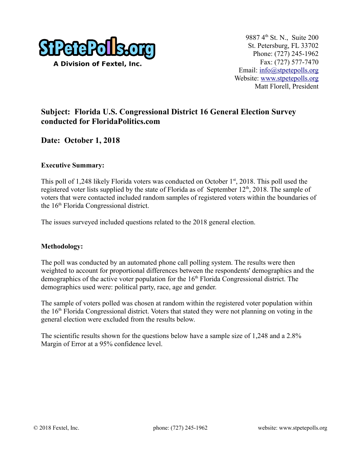

## **Subject: Florida U.S. Congressional District 16 General Election Survey conducted for FloridaPolitics.com**

## **Date: October 1, 2018**

#### **Executive Summary:**

This poll of 1,248 likely Florida voters was conducted on October 1<sup>st</sup>, 2018. This poll used the registered voter lists supplied by the state of Florida as of September 12<sup>th</sup>, 2018. The sample of voters that were contacted included random samples of registered voters within the boundaries of the 16<sup>th</sup> Florida Congressional district.

The issues surveyed included questions related to the 2018 general election.

#### **Methodology:**

The poll was conducted by an automated phone call polling system. The results were then weighted to account for proportional differences between the respondents' demographics and the demographics of the active voter population for the  $16<sup>th</sup>$  Florida Congressional district. The demographics used were: political party, race, age and gender.

The sample of voters polled was chosen at random within the registered voter population within the 16th Florida Congressional district. Voters that stated they were not planning on voting in the general election were excluded from the results below.

The scientific results shown for the questions below have a sample size of 1,248 and a 2.8% Margin of Error at a 95% confidence level.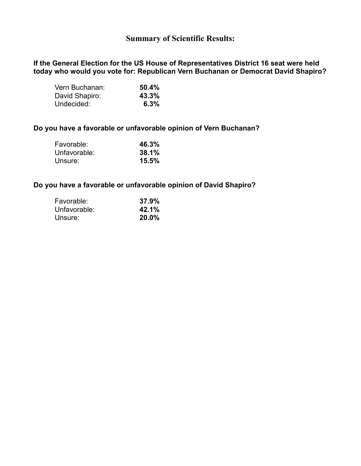### **Summary of Scientific Results:**

**If the General Election for the US House of Representatives District 16 seat were held today who would you vote for: Republican Vern Buchanan or Democrat David Shapiro?**

| Vern Buchanan: | 50.4% |
|----------------|-------|
| David Shapiro: | 43.3% |
| Undecided:     | 6.3%  |

#### **Do you have a favorable or unfavorable opinion of Vern Buchanan?**

| Favorable:   | 46.3% |
|--------------|-------|
| Unfavorable: | 38.1% |
| Unsure:      | 15.5% |

#### **Do you have a favorable or unfavorable opinion of David Shapiro?**

| Favorable:   | 37.9% |
|--------------|-------|
| Unfavorable: | 42.1% |
| Unsure:      | 20.0% |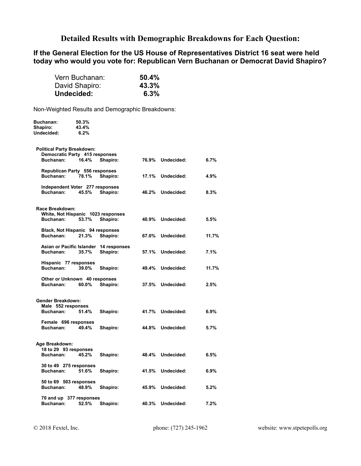### **Detailed Results with Demographic Breakdowns for Each Question:**

#### **If the General Election for the US House of Representatives District 16 seat were held today who would you vote for: Republican Vern Buchanan or Democrat David Shapiro?**

| Vern Buchanan: | 50.4% |
|----------------|-------|
| David Shapiro: | 43.3% |
| Undecided:     | 6.3%  |

Non-Weighted Results and Demographic Breakdowns:

| <b>Buchanan:</b><br>Shapiro:<br>Undecided:                          | 50.3%<br>43.4%<br>6.2% |                                        |       |                  |       |
|---------------------------------------------------------------------|------------------------|----------------------------------------|-------|------------------|-------|
| <b>Political Party Breakdown:</b><br>Democratic Party 415 responses |                        |                                        |       |                  |       |
| Buchanan:                                                           | 16.4%                  | Shapiro:                               |       | 76.9% Undecided: | 6.7%  |
| Republican Party 556 responses<br>Buchanan:                         | 78.1%                  | Shapiro:                               | 17.1% | Undecided:       | 4.9%  |
| Independent Voter 277 responses<br>Buchanan:                        | 45.5%                  | Shapiro:                               | 46.2% | Undecided:       | 8.3%  |
| Race Breakdown:                                                     |                        |                                        |       |                  |       |
| White, Not Hispanic 1023 responses<br>Buchanan:                     | 53.7%                  | Shapiro:                               | 40.9% | Undecided:       | 5.5%  |
| Black, Not Hispanic 94 responses<br>Buchanan:                       | 21.3%                  | Shapiro:                               |       | 67.0% Undecided: | 11.7% |
|                                                                     |                        | Asian or Pacific Islander 14 responses |       |                  |       |
| Buchanan:                                                           | 35.7%                  | Shapiro:                               |       | 57.1% Undecided: | 7.1%  |
| Hispanic 77 responses<br>Buchanan:                                  | 39.0%                  | Shapiro:                               |       | 49.4% Undecided: | 11.7% |
| Other or Unknown 40 responses<br>Buchanan:                          | 60.0%                  | Shapiro:                               |       | 37.5% Undecided: | 2.5%  |
|                                                                     |                        |                                        |       |                  |       |
| Gender Breakdown:<br>Male 552 responses                             |                        |                                        |       |                  |       |
| Buchanan:                                                           | 51.4%                  | Shapiro:                               |       | 41.7% Undecided: | 6.9%  |
| Female 696 responses<br>Buchanan:                                   | 49.4%                  | Shapiro:                               | 44.8% | Undecided:       | 5.7%  |
| Age Breakdown:                                                      |                        |                                        |       |                  |       |
| 18 to 29 93 responses<br>Buchanan:                                  | 45.2%                  | Shapiro:                               |       | 48.4% Undecided: | 6.5%  |
| 30 to 49 275 responses<br>Buchanan:                                 | 51.6%                  | Shapiro:                               |       | 41.5% Undecided: | 6.9%  |
| 50 to 69 503 responses                                              |                        |                                        |       |                  |       |
| Buchanan:                                                           | 48.9%                  | Shapiro:                               |       | 45.9% Undecided: | 5.2%  |
| 70 and up 377 responses<br>Buchanan:                                | 52.5%                  | Shapiro:                               | 40.3% | Undecided:       | 7.2%  |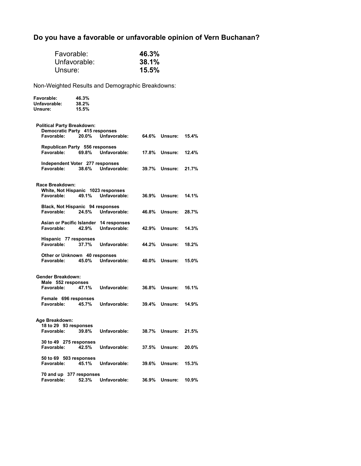# **Do you have a favorable or unfavorable opinion of Vern Buchanan?**

| Unsure:                                                                           | Favorable:<br>Unfavorable: |                                                        | 46.3%<br>38.1%<br>15.5% |                      |       |
|-----------------------------------------------------------------------------------|----------------------------|--------------------------------------------------------|-------------------------|----------------------|-------|
| Non-Weighted Results and Demographic Breakdowns:                                  |                            |                                                        |                         |                      |       |
| <b>Favorable:</b><br>Unfavorable:<br>Unsure:                                      | 46.3%<br>38.2%<br>15.5%    |                                                        |                         |                      |       |
| <b>Political Party Breakdown:</b><br>Democratic Party 415 responses<br>Favorable: | 20.0%                      | Unfavorable:                                           | 64.6%                   | Unsure:              | 15.4% |
| Republican Party 556 responses<br>Favorable:                                      | 69.8%                      | Unfavorable:                                           | 17.8%                   | Unsure:              | 12.4% |
| Independent Voter 277 responses<br>Favorable:                                     |                            | 38.6% Unfavorable:                                     |                         | 39.7% Unsure:        | 21.7% |
| Race Breakdown:<br>White, Not Hispanic 1023 responses<br>Favorable:               | 49.1%                      | Unfavorable:                                           | 36.9%                   | Unsure:              | 14.1% |
| Black, Not Hispanic 94 responses<br>Favorable:                                    | 24.5%                      | Unfavorable:                                           | 46.8%                   | Unsure:              | 28.7% |
| Favorable:                                                                        | 42.9%                      | Asian or Pacific Islander 14 responses<br>Unfavorable: | 42.9%                   | Unsure:              | 14.3% |
| Hispanic 77 responses<br>Favorable:                                               | 37.7%                      | Unfavorable:                                           | 44.2%                   | Unsure:              | 18.2% |
| Other or Unknown 40 responses<br>Favorable:                                       | 45.0%                      | Unfavorable:                                           |                         | 40.0% Unsure:        | 15.0% |
| <b>Gender Breakdown:</b><br>Male 552 responses<br>Favorable:                      | 47.1%                      | Unfavorable:                                           | 36.8%                   | Unsure:              | 16.1% |
| Female 696 responses<br>Favorable:                                                | 45.7%                      | Unfavorable:                                           | 39.4%                   | Unsure:              | 14.9% |
| Age Breakdown:<br>18 to 29 93 responses<br>Favorable:                             | 39.8%                      | Unfavorable:                                           |                         | <b>38.7% Unsure:</b> | 21.5% |
| 30 to 49 275 responses<br>Favorable:                                              | 42.5%                      | Unfavorable:                                           | 37.5%                   | Unsure:              | 20.0% |
| 50 to 69 503 responses<br>Favorable:                                              | 45.1%                      | Unfavorable:                                           | 39.6%                   | Unsure:              | 15.3% |
| 70 and up 377 responses<br>Favorable:                                             | 52.3%                      | Unfavorable:                                           | 36.9%                   | Unsure:              | 10.9% |